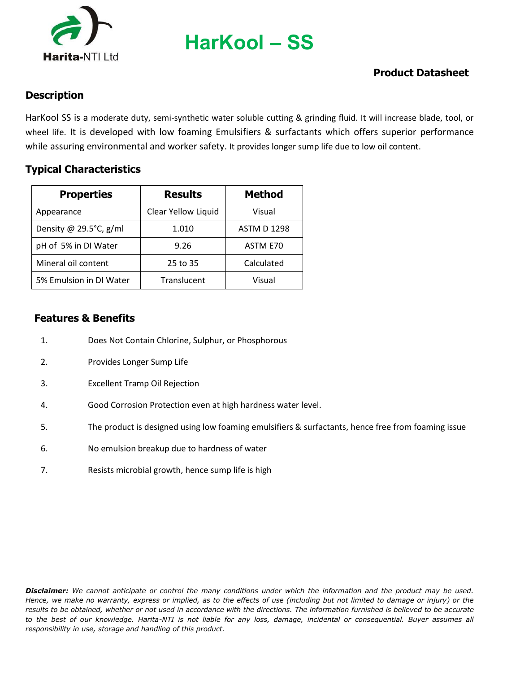

**HarKool – SS**

# **Product Datasheet**

### **Description**

HarKool SS is a moderate duty, semi-synthetic water soluble cutting & grinding fluid. It will increase blade, tool, or wheel life. It is developed with low foaming Emulsifiers & surfactants which offers superior performance while assuring environmental and worker safety. It provides longer sump life due to low oil content.

#### **Typical Characteristics**

| <b>Properties</b>          | <b>Results</b>      | <b>Method</b>      |
|----------------------------|---------------------|--------------------|
| Appearance                 | Clear Yellow Liquid | Visual             |
| Density @ 29.5 $°C$ , g/ml | 1.010               | <b>ASTM D 1298</b> |
| pH of 5% in DI Water       | 9.26                | ASTM E70           |
| Mineral oil content        | 25 to 35            | Calculated         |
| 5% Emulsion in DI Water    | Translucent         | Visual             |

### **Features & Benefits**

- 1. Does Not Contain Chlorine, Sulphur, or Phosphorous
- 2. Provides Longer Sump Life
- 3. Excellent Tramp Oil Rejection
- 4. Good Corrosion Protection even at high hardness water level.
- 5. The product is designed using low foaming emulsifiers & surfactants, hence free from foaming issue
- 6. No emulsion breakup due to hardness of water
- 7. Resists microbial growth, hence sump life is high

*Disclaimer: We cannot anticipate or control the many conditions under which the information and the product may be used. Hence, we make no warranty, express or implied, as to the effects of use (including but not limited to damage or injury) or the results to be obtained, whether or not used in accordance with the directions. The information furnished is believed to be accurate*  to the best of our knowledge. Harita-NTI is not liable for any loss, damage, incidental or consequential. Buyer assumes all *responsibility in use, storage and handling of this product.*